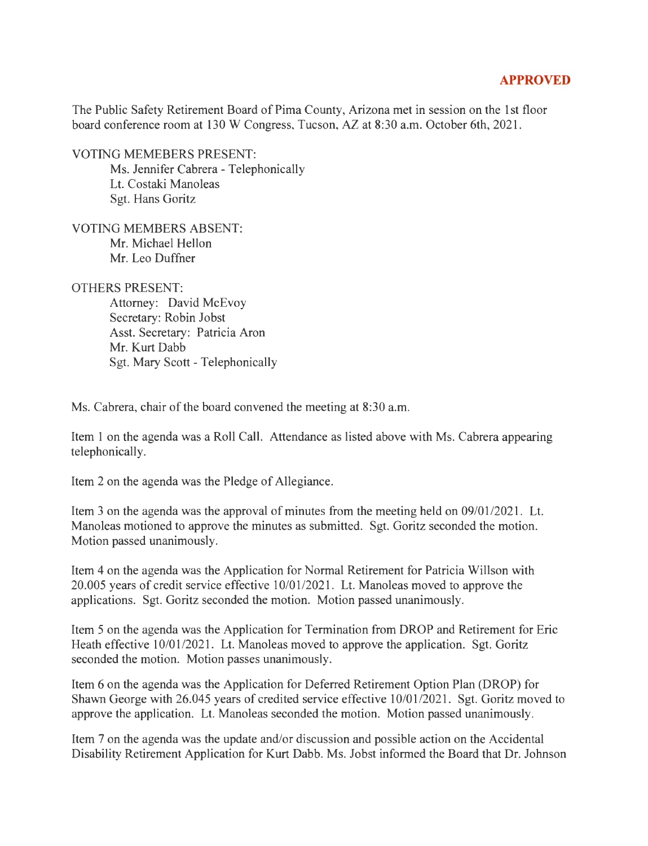## **APPROVED**

The Public Safety Retirement Board of Pima County, Arizona met in session on the 1st floor board conference room at 130 W Congress, Tucson, AZ at 8:30 a.m. October 6th, 2021.

VOTING MEMEBERS PRESENT: Ms. Jennifer Cabrera - Telephonically Lt. Costaki Manoleas Sgt. Hans Goritz

VOTING MEMBERS ABSENT: Mr. Michael Hellon Mr. Leo Duffner

OTHERS PRESENT:

Attorney: David McEvoy Secretary: Robin Jobst Asst. Secretary: Patricia Aron Mr. Kurt Dabb Sgt. Mary Scott - Telephonically

Ms. Cabrera, chair of the board convened the meeting at 8:30 a.m.

Item 1 on the agenda was a Roll Call. Attendance as listed above with Ms. Cabrera appearing telephonically.

Item 2 on the agenda was the Pledge of Allegiance.

Item 3 on the agenda was the approval of minutes from the meeting held on 09/01/2021. Lt. Manoleas motioned to approve the minutes as submitted. Sgt. Goritz seconded the motion. Motion passed unanimously.

Item 4 on the agenda was the Application for Normal Retirement for Patricia Willson with 20.005 years of credit service effective 10/01/2021. Lt. Manoleas moved to approve the applications. Sgt. Goritz seconded the motion. Motion passed unanimously.

Item 5 on the agenda was the Application for Termination from DROP and Retirement for Eric Heath effective 10/01/2021. Lt. Manoleas moved to approve the application. Sgt. Goritz seconded the motion. Motion passes unanimously.

Item 6 on the agenda was the Application for Deferred Retirement Option Plan (DROP) for Shawn George with 26.045 years of credited service effective 10/01/2021. Sgt. Goritz moved to approve the application. Lt. Manoleas seconded the motion. Motion passed unanimously.

Item 7 on the agenda was the update and/or discussion and possible action on the Accidental Disability Retirement Application for Kurt Dabb. Ms. Jobst informed the Board that Dr. Johnson